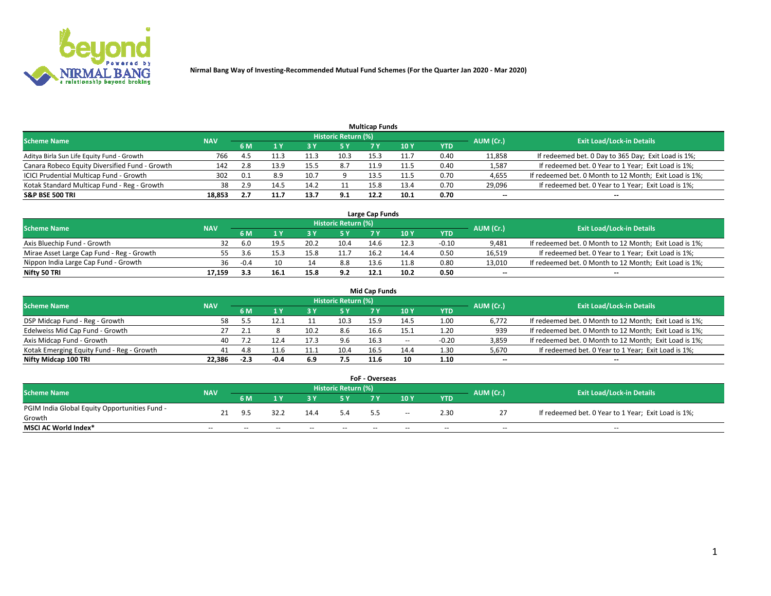

| <b>Multicap Funds</b>                          |            |     |      |      |                     |      |      |      |                          |                                                        |  |  |  |  |
|------------------------------------------------|------------|-----|------|------|---------------------|------|------|------|--------------------------|--------------------------------------------------------|--|--|--|--|
| Scheme Name                                    | <b>NAV</b> |     |      |      | Historic Return (%) |      |      |      | AUM (Cr.)                | <b>Exit Load/Lock-in Details</b>                       |  |  |  |  |
|                                                |            | 6 M |      |      | 5 Y                 |      | 10 ۱ | YTD  |                          |                                                        |  |  |  |  |
| Aditya Birla Sun Life Equity Fund - Growth     | 766        |     | 11.3 |      | 10.3                | 15.3 |      | 0.40 | 11,858                   | If redeemed bet. 0 Day to 365 Day; Exit Load is 1%;    |  |  |  |  |
| Canara Robeco Equity Diversified Fund - Growth | 142        | 2.8 | 13.9 |      | 8.7                 | 11.9 | 11.5 | 0.40 | 1,587                    | If redeemed bet. 0 Year to 1 Year; Exit Load is 1%;    |  |  |  |  |
| ICICI Prudential Multicap Fund - Growth        | 302        | 0.1 | 8.9  | 10.7 |                     | 13.5 | 11.5 | 0.70 | 4,655                    | If redeemed bet. 0 Month to 12 Month; Exit Load is 1%; |  |  |  |  |
| Kotak Standard Multicap Fund - Reg - Growth    | 38         | 2.9 | 14.5 |      |                     | 15.8 | 13.4 | 0.70 | 29,096                   | If redeemed bet. 0 Year to 1 Year; Exit Load is 1%;    |  |  |  |  |
| <b>S&amp;P BSE 500 TRI</b>                     | 18.853     |     |      | 13.7 | 9.1                 | 12.2 | 10.1 | 0.70 | $\overline{\phantom{a}}$ | $- -$                                                  |  |  |  |  |

| Large Cap Funds                           |            |           |                                  |      |      |      |      |         |        |                                                        |  |  |  |  |
|-------------------------------------------|------------|-----------|----------------------------------|------|------|------|------|---------|--------|--------------------------------------------------------|--|--|--|--|
| Scheme Name                               | <b>NAV</b> | AUM (Cr.) | <b>Exit Load/Lock-in Details</b> |      |      |      |      |         |        |                                                        |  |  |  |  |
|                                           |            | 6 M       |                                  |      | 5 Y  |      | 10Y  | YTD     |        |                                                        |  |  |  |  |
| Axis Bluechip Fund - Growth               |            | 6.0       | 19.5                             | 20.2 | 10.4 | 14.6 |      | $-0.10$ | 9,481  | If redeemed bet. 0 Month to 12 Month; Exit Load is 1%; |  |  |  |  |
| Mirae Asset Large Cap Fund - Reg - Growth |            | <b>35</b> |                                  |      |      | 16.2 | 14.4 | 0.50    | 16,519 | If redeemed bet. 0 Year to 1 Year; Exit Load is 1%;    |  |  |  |  |
| Nippon India Large Cap Fund - Growth      | 36         | $-0.4$    |                                  |      | 8.8  | 13.6 | 11.8 | 0.80    | 13,010 | If redeemed bet. 0 Month to 12 Month; Exit Load is 1%; |  |  |  |  |
| Nifty 50 TRI                              | 17.159     |           | 16.1                             | 15.8 | 9.2  | 12.1 | 10.2 | 0.50    | $\sim$ | $-$                                                    |  |  |  |  |

| <b>Mid Cap Funds</b>                      |            |        |      |      |                     |      |       |            |           |                                                        |  |  |  |  |
|-------------------------------------------|------------|--------|------|------|---------------------|------|-------|------------|-----------|--------------------------------------------------------|--|--|--|--|
| <b>Scheme Name</b>                        | <b>NAV</b> |        |      |      | Historic Return (%) |      |       |            | AUM (Cr.) | <b>Exit Load/Lock-in Details</b>                       |  |  |  |  |
|                                           |            | 6 M    |      |      | 5 Y                 |      | 10 Y  | <b>YTD</b> |           |                                                        |  |  |  |  |
| DSP Midcap Fund - Reg - Growth            | 58.        |        |      |      | 10.3                | 15.9 | 14.5  | 1.00       | 6,772     | If redeemed bet. 0 Month to 12 Month; Exit Load is 1%; |  |  |  |  |
| Edelweiss Mid Cap Fund - Growth           |            |        |      | 10.2 | 8.6                 | 16.6 | 15.1  | 1.20       | 939       | If redeemed bet. 0 Month to 12 Month; Exit Load is 1%; |  |  |  |  |
| Axis Midcap Fund - Growth                 | 40         |        |      |      |                     | 16.3 | $- -$ | $-0.20$    | 3,859     | If redeemed bet. 0 Month to 12 Month; Exit Load is 1%; |  |  |  |  |
| Kotak Emerging Equity Fund - Reg - Growth | 41         | 4.8    |      | 11.1 | 10.4                | 16.5 | 14.4  | 1.30       | 5,670     | If redeemed bet. 0 Year to 1 Year; Exit Load is 1%;    |  |  |  |  |
| Nifty Midcap 100 TRI                      | 22.386     | $-2.3$ | -0.4 | 6.9  | 7.5                 | 11.6 | 10    | 1.10       | $\sim$    | $\sim$                                                 |  |  |  |  |

| <b>FoF - Overseas</b>                         |            |                |                                  |       |       |     |        |            |       |                                                     |  |  |  |
|-----------------------------------------------|------------|----------------|----------------------------------|-------|-------|-----|--------|------------|-------|-----------------------------------------------------|--|--|--|
| <b>Scheme Name</b>                            | <b>NAV</b> | AUM (Cr.)      | <b>Exit Load/Lock-in Details</b> |       |       |     |        |            |       |                                                     |  |  |  |
|                                               |            | 6 M            |                                  |       |       |     | 10Y    | <b>YTD</b> |       |                                                     |  |  |  |
| PGIM India Global Equity Opportunities Fund - |            | Q <sub>5</sub> | 32.2                             | 14.4  | 5.4   |     | $\sim$ | 2.30       |       | If redeemed bet. 0 Year to 1 Year; Exit Load is 1%; |  |  |  |
| Growth                                        |            |                |                                  |       |       | 5.5 |        |            |       |                                                     |  |  |  |
| <b>MSCI AC World Index*</b>                   | $- -$      | $- -$          | $- -$                            | $- -$ | $- -$ | --  | $- -$  | $- -$      | $- -$ | $- -$                                               |  |  |  |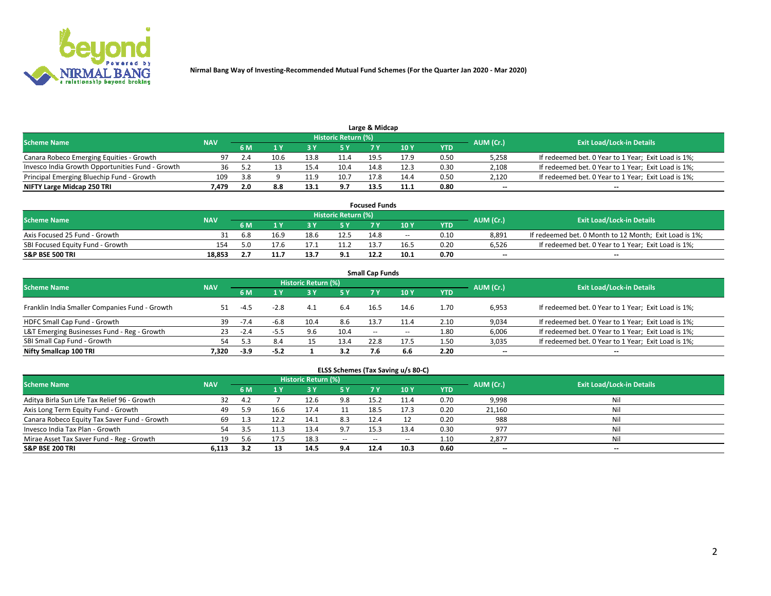

| Large & Midcap<br>Historic Return (%)            |            |     |      |      |      |      |      |      |                          |                                                     |  |  |  |  |
|--------------------------------------------------|------------|-----|------|------|------|------|------|------|--------------------------|-----------------------------------------------------|--|--|--|--|
| <b>Scheme Name</b>                               | <b>NAV</b> | 6 M |      |      | 5 Y  |      | 10Y  | YTD. | AUM (Cr.)                | <b>Exit Load/Lock-in Details</b>                    |  |  |  |  |
| Canara Robeco Emerging Equities - Growth         | 97         |     | 10.6 | 13.8 | 11.4 | 19.5 | 17.9 | 0.50 | 5,258                    | If redeemed bet. 0 Year to 1 Year; Exit Load is 1%; |  |  |  |  |
| Invesco India Growth Opportunities Fund - Growth |            |     |      | 15.4 | 10.4 | 14.8 | 12.3 | 0.30 | 2,108                    | If redeemed bet. 0 Year to 1 Year; Exit Load is 1%; |  |  |  |  |
| Principal Emerging Bluechip Fund - Growth        | 109        | 3.8 |      | 11.9 | 10.7 | 17.8 | 14.4 | 0.50 | 2,120                    | If redeemed bet. 0 Year to 1 Year; Exit Load is 1%; |  |  |  |  |
| NIFTY Large Midcap 250 TRI                       | /.479      |     | 8.8  | 13.1 | 9.7  | 13.5 | 11.1 | 0.80 | $\overline{\phantom{a}}$ | $- -$                                               |  |  |  |  |

| <b>Focused Funds</b>             |            |     |      |                                  |      |      |       |            |                          |                                                        |  |  |  |
|----------------------------------|------------|-----|------|----------------------------------|------|------|-------|------------|--------------------------|--------------------------------------------------------|--|--|--|
| <b>Scheme Name</b>               | <b>NAV</b> |     |      | <b>Exit Load/Lock-in Details</b> |      |      |       |            |                          |                                                        |  |  |  |
|                                  |            | 6 M |      |                                  |      |      | 10 Y  | <b>YTD</b> | AUM (Cr.)                |                                                        |  |  |  |
| Axis Focused 25 Fund - Growth    |            | 6.8 | 16.9 | 18.6                             | 12.5 | 14.8 | $- -$ | 0.10       | 8.891                    | If redeemed bet. 0 Month to 12 Month; Exit Load is 1%; |  |  |  |
| SBI Focused Equity Fund - Growth | 154        |     |      |                                  |      |      | 16.5  | 0.20       | 6.526                    | If redeemed bet. 0 Year to 1 Year: Exit Load is 1%:    |  |  |  |
| <b>S&amp;P BSE 500 TRI</b>       | 18.853     |     |      | 13.7                             | 9.1  | 12.2 | 10.1  | 0.70       | $\overline{\phantom{a}}$ | $\overline{\phantom{a}}$                               |  |  |  |

| <b>Small Cap Funds</b>                         |            |        |        |                     |      |        |       |      |           |                                                     |  |  |  |  |
|------------------------------------------------|------------|--------|--------|---------------------|------|--------|-------|------|-----------|-----------------------------------------------------|--|--|--|--|
| <b>Scheme Name</b>                             | <b>NAV</b> |        |        | Historic Return (%) |      |        |       |      | AUM (Cr.) | <b>Exit Load/Lock-in Details</b>                    |  |  |  |  |
|                                                |            | 6 M    |        | 3Y                  | 5 Y  | 7 Y    | 10Y   | YTD  |           |                                                     |  |  |  |  |
| Franklin India Smaller Companies Fund - Growth |            | $-4.5$ | $-2.8$ | 4.1                 | 6.4  | 16.5   | 14.6  | 1.70 | 6,953     | If redeemed bet. 0 Year to 1 Year; Exit Load is 1%; |  |  |  |  |
| HDFC Small Cap Fund - Growth                   | 39         | $-7.4$ | -6.8   | 10.4                | 8.6  | 13.7   | 11.4  | 2.10 | 9,034     | If redeemed bet. 0 Year to 1 Year; Exit Load is 1%; |  |  |  |  |
| L&T Emerging Businesses Fund - Reg - Growth    | 23         | $-2.4$ | -5.5   | 9.6                 | 10.4 | $\sim$ | $- -$ | 1.80 | 6,006     | If redeemed bet. 0 Year to 1 Year; Exit Load is 1%; |  |  |  |  |
| SBI Small Cap Fund - Growth                    | 54         |        | 8.4    |                     | 13.4 | 22.8   | 17.5  | 1.50 | 3,035     | If redeemed bet. 0 Year to 1 Year; Exit Load is 1%; |  |  |  |  |
| Nifty Smallcap 100 TRI                         | 7.320      | -3.9   | $-5.2$ |                     | 3.2  | 7.6    | 6.6   | 2.20 | $\sim$    | $- -$                                               |  |  |  |  |

## **ELSS Schemes (Tax Saving u/s 80-C)**

| <b>Scheme Name</b>                           | <b>NAV</b> |     |      | <b>Historic Return (%)</b> |           |      |      |      | AUM (Cr.) | <b>Exit Load/Lock-in Details</b> |
|----------------------------------------------|------------|-----|------|----------------------------|-----------|------|------|------|-----------|----------------------------------|
|                                              |            | 6 M | 1 Y  |                            | <b>5Y</b> | 7 Y  | 10Y  | YTD  |           |                                  |
| Aditya Birla Sun Life Tax Relief 96 - Growth | 32         | 4.2 |      | 12.6                       | 9.8       | 15.2 | 11.4 | 0.70 | 9,998     | Nil                              |
| Axis Long Term Equity Fund - Growth          | 49         | 5.9 | 16.6 | 17.4                       |           | 18.5 | 17.3 | 0.20 | 21,160    | Nil                              |
| Canara Robeco Equity Tax Saver Fund - Growth | 69         |     |      | 14.1                       | 8.3       | 12.4 |      | 0.20 | 988       | Nil                              |
| Invesco India Tax Plan - Growth              | 54         | 3.5 |      | 13.4                       | 9.7       | 15.3 | 13.4 | 0.30 | 977       | Nil                              |
| Mirae Asset Tax Saver Fund - Reg - Growth    | 19         | 5.6 |      | 18.3                       | $- -$     | --   | --   | 1.10 | 2,877     | Nil                              |
| S&P BSE 200 TRI                              | 6.113      |     |      | 14.5                       | 9.4       | 12.4 | 10.3 | 0.60 | $\sim$    | $- -$                            |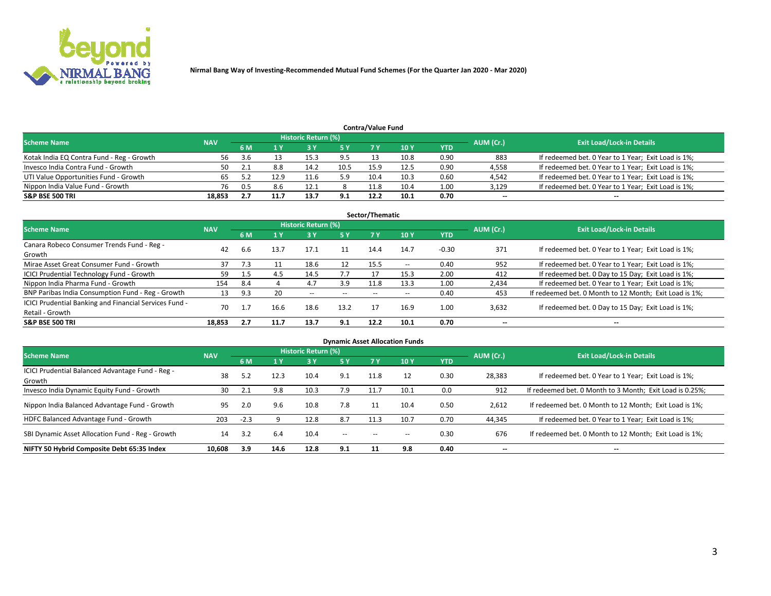

| <b>Contra/Value Fund</b><br>Historic Return (%) |            |      |      |      |      |      |      |      |           |                                                     |  |  |  |  |
|-------------------------------------------------|------------|------|------|------|------|------|------|------|-----------|-----------------------------------------------------|--|--|--|--|
| <b>Scheme Name</b>                              | <b>NAV</b> | 6 M  |      |      | 5 Y  | 7 V  | 10Y  | YTD  | AUM (Cr.) | <b>Exit Load/Lock-in Details</b>                    |  |  |  |  |
| Kotak India EQ Contra Fund - Reg - Growth       | 56         | 3.6  |      | 15.3 | 9.5  |      | 10.8 | 0.90 | 883       | If redeemed bet. 0 Year to 1 Year; Exit Load is 1%; |  |  |  |  |
| Invesco India Contra Fund - Growth              | 50         |      | 8.8  | 14.2 | 10.5 | 15.9 | 12.5 | 0.90 | 4,558     | If redeemed bet. 0 Year to 1 Year; Exit Load is 1%; |  |  |  |  |
| UTI Value Opportunities Fund - Growth           |            |      | 12.9 | 11.6 | 5.9  | 10.4 | 10.3 | 0.60 | 4,542     | If redeemed bet. 0 Year to 1 Year; Exit Load is 1%; |  |  |  |  |
| Nippon India Value Fund - Growth                | 76         | -0.5 | 8.6  | 12.1 |      | 11.8 | 10.4 | 1.00 | 3,129     | If redeemed bet. 0 Year to 1 Year; Exit Load is 1%; |  |  |  |  |
| <b>S&amp;P BSE 500 TRI</b>                      | 18,853     |      | 11.7 | 13.7 | 9.1  | 12.2 | 10.1 | 0.70 | $\sim$    | $- -$                                               |  |  |  |  |

| Sector/Thematic                                                           |            |         |      |                     |       |       |                          |            |                          |                                                        |  |  |  |
|---------------------------------------------------------------------------|------------|---------|------|---------------------|-------|-------|--------------------------|------------|--------------------------|--------------------------------------------------------|--|--|--|
| <b>Scheme Name</b>                                                        | <b>NAV</b> |         |      | Historic Return (%) |       |       |                          |            | AUM (Cr.)                | <b>Exit Load/Lock-in Details</b>                       |  |  |  |
|                                                                           |            | 6 M     | 1 Y  | 73 Y                | 15 Y  | 7 Y   | 10Y                      | <b>YTD</b> |                          |                                                        |  |  |  |
| Canara Robeco Consumer Trends Fund - Reg -<br>Growth                      | 42         | 6.6     | 13.7 | 17.1                | 11    | 14.4  | 14.7                     | $-0.30$    | 371                      | If redeemed bet. 0 Year to 1 Year; Exit Load is 1%;    |  |  |  |
| Mirae Asset Great Consumer Fund - Growth                                  | 37         | 7.3     |      | 18.6                | 12    | 15.5  | $\overline{\phantom{a}}$ | 0.40       | 952                      | If redeemed bet. 0 Year to 1 Year; Exit Load is 1%;    |  |  |  |
| ICICI Prudential Technology Fund - Growth                                 | 59         |         |      | 14.5                | 7.7   |       | 15.3                     | 2.00       | 412                      | If redeemed bet. 0 Day to 15 Day; Exit Load is 1%;     |  |  |  |
| Nippon India Pharma Fund - Growth                                         | 154        | 8.4     |      | 4.7                 | 3.9   | 11.8  | 13.3                     | 1.00       | 2,434                    | If redeemed bet. 0 Year to 1 Year; Exit Load is 1%;    |  |  |  |
| BNP Paribas India Consumption Fund - Reg - Growth                         | 13         | 9.3     | 20   | $- -$               | $- -$ | $- -$ | $- -$                    | 0.40       | 453                      | If redeemed bet. 0 Month to 12 Month; Exit Load is 1%; |  |  |  |
| ICICI Prudential Banking and Financial Services Fund -<br>Retail - Growth | 70         | 1.<br>- | 16.6 | 18.6                | 13.2  |       | 16.9                     | 1.00       | 3,632                    | If redeemed bet. 0 Day to 15 Day; Exit Load is 1%;     |  |  |  |
| <b>S&amp;P BSE 500 TRI</b>                                                | 18.853     | 2.7     | 11.7 | 13.7                | 9.1   | 12.2  | 10.1                     | 0.70       | $\overline{\phantom{a}}$ | $\overline{\phantom{a}}$                               |  |  |  |

|                                                            |            |        |      |                     |               |                          | <b>Dynamic Asset Allocation Funds</b> |            |           |                                                          |
|------------------------------------------------------------|------------|--------|------|---------------------|---------------|--------------------------|---------------------------------------|------------|-----------|----------------------------------------------------------|
| <b>Scheme Name</b>                                         | <b>NAV</b> |        |      | Historic Return (%) |               |                          |                                       |            |           | <b>Exit Load/Lock-in Details</b>                         |
|                                                            |            | 6 M    |      | 3 Y                 | 5 Y           | 7 Y                      | 10 <sub>Y</sub>                       | <b>YTD</b> | AUM (Cr.) |                                                          |
| ICICI Prudential Balanced Advantage Fund - Reg -<br>Growth | 38         | 5.2    | 12.3 | 10.4                | 9.1           | 11.8                     |                                       | 0.30       | 28,383    | If redeemed bet. 0 Year to 1 Year; Exit Load is 1%;      |
| Invesco India Dynamic Equity Fund - Growth                 | 30         | 2.1    | 9.8  | 10.3                | 7.9           | 11.7                     | 10.1                                  | 0.0        | 912       | If redeemed bet. 0 Month to 3 Month; Exit Load is 0.25%; |
| Nippon India Balanced Advantage Fund - Growth              | 95         | 2.0    | 9.6  | 10.8                | 7.8           |                          | 10.4                                  | 0.50       | 2,612     | If redeemed bet. 0 Month to 12 Month; Exit Load is 1%;   |
| HDFC Balanced Advantage Fund - Growth                      | 203        | $-2.3$ |      | 12.8                | 8.7           | 11.3                     | 10.7                                  | 0.70       | 44,345    | If redeemed bet. 0 Year to 1 Year; Exit Load is 1%;      |
| SBI Dynamic Asset Allocation Fund - Reg - Growth           | 14         | 3.2    | 6.4  | 10.4                | $\sim$ $\sim$ | $\overline{\phantom{a}}$ | $- -$                                 | 0.30       | 676       | If redeemed bet. 0 Month to 12 Month; Exit Load is 1%;   |
| NIFTY 50 Hybrid Composite Debt 65:35 Index                 | 10,608     | 3.9    | 14.6 | 12.8                | 9.1           | 11                       | 9.8                                   | 0.40       | $\sim$    | $\overline{\phantom{a}}$                                 |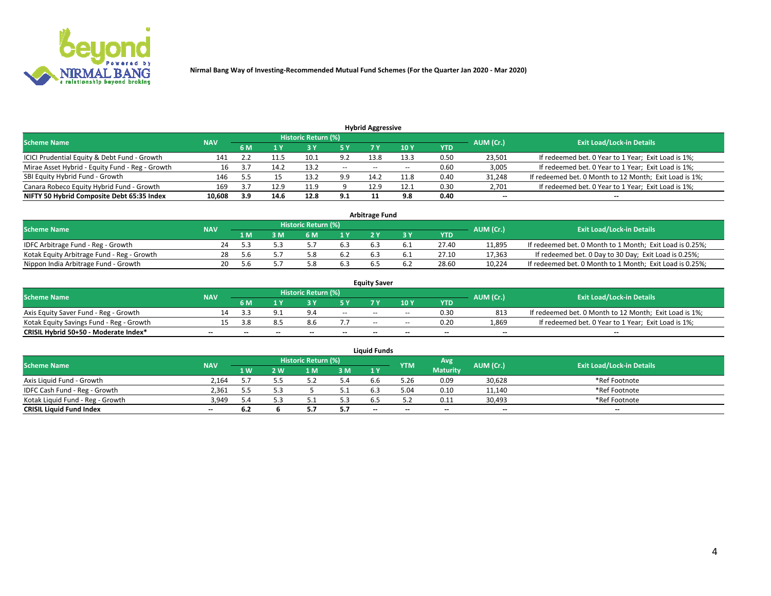

| <b>Hybrid Aggressive</b>                        |            |                                  |      |      |       |       |                 |      |                          |                                                        |  |  |  |  |
|-------------------------------------------------|------------|----------------------------------|------|------|-------|-------|-----------------|------|--------------------------|--------------------------------------------------------|--|--|--|--|
| <b>Scheme Name</b>                              | AUM (Cr.)  | <b>Exit Load/Lock-in Details</b> |      |      |       |       |                 |      |                          |                                                        |  |  |  |  |
|                                                 | <b>NAV</b> | 6 M                              |      |      | 5 Y   | 7 Y   | 10 <sub>Y</sub> | YTD  |                          |                                                        |  |  |  |  |
| ICICI Prudential Equity & Debt Fund - Growth    | 141        |                                  |      | 10.1 | 9.2   | 13.8  | 13.3            | 0.50 | 23,501                   | If redeemed bet. 0 Year to 1 Year; Exit Load is 1%;    |  |  |  |  |
| Mirae Asset Hybrid - Equity Fund - Reg - Growth |            |                                  | 14.2 | 13.2 | $- -$ | $- -$ | --              | 0.60 | 3,005                    | If redeemed bet. 0 Year to 1 Year; Exit Load is 1%;    |  |  |  |  |
| SBI Equity Hybrid Fund - Growth                 | 146        |                                  |      | 13.2 | 9.9   | 14.2  | 11.8            | 0.40 | 31,248                   | If redeemed bet. 0 Month to 12 Month; Exit Load is 1%; |  |  |  |  |
| Canara Robeco Equity Hybrid Fund - Growth       | 169        |                                  | 12.9 | 11.9 |       | 12.9  | 12.1            | 0.30 | 2,701                    | If redeemed bet. 0 Year to 1 Year; Exit Load is 1%;    |  |  |  |  |
| NIFTY 50 Hybrid Composite Debt 65:35 Index      | 10,608     | 3.9                              | 14.6 | 12.8 | 9.1   |       | 9.8             | 0.40 | $\overline{\phantom{a}}$ | $- -$                                                  |  |  |  |  |

|                                            |            |           |                                  |     |     | <b>Arbitrage Fund</b> |       |        |                                                          |
|--------------------------------------------|------------|-----------|----------------------------------|-----|-----|-----------------------|-------|--------|----------------------------------------------------------|
| Scheme Name                                | <b>NAV</b> | AUM (Cr.) | <b>Exit Load/Lock-in Details</b> |     |     |                       |       |        |                                                          |
|                                            |            | 1 M       | ያ M                              | 6 M |     |                       | YTD   |        |                                                          |
| IDFC Arbitrage Fund - Reg - Growth         | 24         |           |                                  |     | 6.3 | 6.                    | 27.40 | 11,895 | If redeemed bet. 0 Month to 1 Month; Exit Load is 0.25%; |
| Kotak Equity Arbitrage Fund - Reg - Growth | 28         | .5.b      |                                  |     | 6.2 | $b$ .:                | 27.10 | 17,363 | If redeemed bet. 0 Day to 30 Day; Exit Load is 0.25%;    |
| Nippon India Arbitrage Fund - Growth       | 20         | .5.b      |                                  |     | 6.3 | b.:                   | 28.60 | 10.224 | If redeemed bet. 0 Month to 1 Month; Exit Load is 0.25%; |

|                                          |            |           |                                  |                          |                          | <b>Equity Saver</b> |        |            |                          |                                                        |
|------------------------------------------|------------|-----------|----------------------------------|--------------------------|--------------------------|---------------------|--------|------------|--------------------------|--------------------------------------------------------|
| Scheme Name                              | <b>NAV</b> | AUM (Cr.) | <b>Exit Load/Lock-in Details</b> |                          |                          |                     |        |            |                          |                                                        |
|                                          |            | 6 M       |                                  |                          |                          |                     | 10 Y   | <b>YTD</b> |                          |                                                        |
| Axis Equity Saver Fund - Reg - Growth    |            |           |                                  |                          | $\sim$                   | $- -$               | $\sim$ | 0.30       | 813                      | If redeemed bet. 0 Month to 12 Month; Exit Load is 1%; |
| Kotak Equity Savings Fund - Reg - Growth |            | ≺.∧ร      |                                  | 8.6                      |                          | $\sim$ $\sim$       | $\sim$ | 0.20       | 1,869                    | If redeemed bet. 0 Year to 1 Year; Exit Load is 1%;    |
| CRISIL Hybrid 50+50 - Moderate Index*    |            | --        | $-$                              | $\overline{\phantom{a}}$ | $\overline{\phantom{a}}$ | $\sim$              | --     | $\sim$     | $\overline{\phantom{a}}$ | $-$                                                    |

| <b>Liquid Funds</b>              |            |      |     |                            |     |                          |            |                 |           |                                  |  |  |  |  |
|----------------------------------|------------|------|-----|----------------------------|-----|--------------------------|------------|-----------------|-----------|----------------------------------|--|--|--|--|
| Scheme Name                      | <b>NAV</b> |      |     | <b>Historic Return (%)</b> |     |                          | <b>YTM</b> | Avg             | AUM (Cr.) | <b>Exit Load/Lock-in Details</b> |  |  |  |  |
|                                  |            | 1 W. | 2 W | 1 M                        | 3M  | 71 Y                     |            | <b>Maturity</b> |           |                                  |  |  |  |  |
| Axis Liquid Fund - Growth        | 2.164      |      |     |                            | 5.4 | b.b                      | 5.26       | 0.09            | 30,628    | *Ref Footnote                    |  |  |  |  |
| IDFC Cash Fund - Reg - Growth    | 2.361      | 5.5  | 5.3 |                            | 5.1 | 6.3                      | 5.04       | 0.10            | 11,140    | *Ref Footnote                    |  |  |  |  |
| Kotak Liquid Fund - Reg - Growth | 3,949      | 4.د  |     |                            | 5.3 |                          |            | 0.11            | 30,493    | *Ref Footnote                    |  |  |  |  |
| <b>CRISIL Liquid Fund Index</b>  | $\sim$     | 6.2  |     |                            | 5.7 | $\overline{\phantom{a}}$ | $-$        | $\sim$          | $\sim$    | $\sim$                           |  |  |  |  |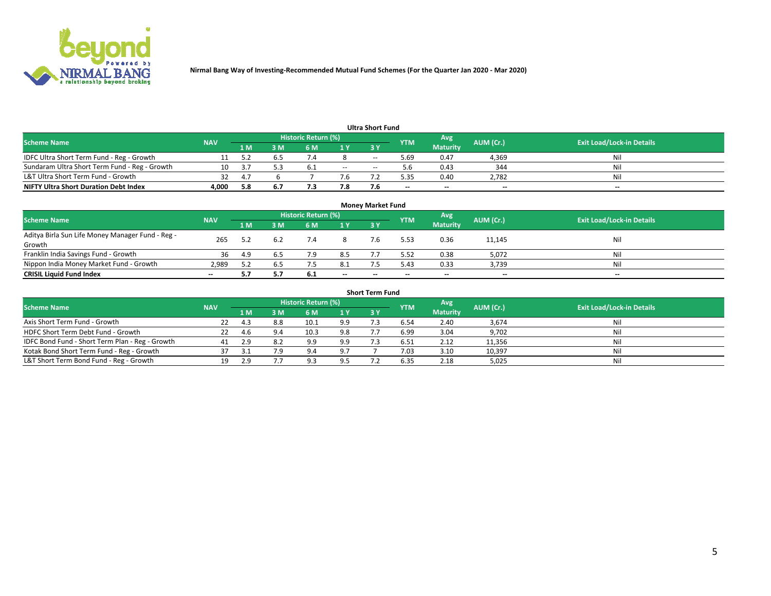

| <b>Ultra Short Fund</b>                       |            |     |     |                     |       |           |            |                 |           |                                  |  |  |  |  |
|-----------------------------------------------|------------|-----|-----|---------------------|-------|-----------|------------|-----------------|-----------|----------------------------------|--|--|--|--|
| <b>Scheme Name</b>                            | <b>NAV</b> |     |     | Historic Return (%) |       |           | <b>YTM</b> | Avg             | AUM (Cr.) | <b>Exit Load/Lock-in Details</b> |  |  |  |  |
|                                               |            | 1 M | 3 M | 6 M                 | 1 Y   | <b>3Y</b> |            | <b>Maturity</b> |           |                                  |  |  |  |  |
| IDFC Ultra Short Term Fund - Reg - Growth     |            |     |     |                     |       | $- -$     | 5.69       | 0.47            | 4,369     | Nil                              |  |  |  |  |
| Sundaram Ultra Short Term Fund - Reg - Growth |            |     |     | -6.1                | $- -$ | --        |            | 0.43            | 344       | Nil                              |  |  |  |  |
| L&T Ultra Short Term Fund - Growth            |            | Δ.  |     |                     | 7.6   |           | -25        | 0.40            | 2,782     | Nil                              |  |  |  |  |
| <b>NIFTY Ultra Short Duration Debt Index</b>  | 4.000      | 5.8 | 6.7 |                     | 7.8   |           | $\sim$     | $\sim$          | $\sim$    | $- -$                            |  |  |  |  |

| <b>Money Market Fund</b>                                   |            |          |     |                     |        |    |            |                 |           |                                  |  |  |  |
|------------------------------------------------------------|------------|----------|-----|---------------------|--------|----|------------|-----------------|-----------|----------------------------------|--|--|--|
| <b>Scheme Name</b>                                         | <b>NAV</b> |          |     | Historic Return (%) |        |    | <b>YTM</b> | 'Avg            | AUM (Cr.) | <b>Exit Load/Lock-in Details</b> |  |  |  |
|                                                            |            | 1 M      | 3 M | 6 M                 | 1 Y    | 3Y |            | <b>Maturity</b> |           |                                  |  |  |  |
| Aditya Birla Sun Life Money Manager Fund - Reg -<br>Growth | 265        |          |     |                     |        |    | 5.53       | 0.36            | 11,145    | Nil                              |  |  |  |
| Franklin India Savings Fund - Growth                       | 36         | 4.9      |     | 7.9                 | 8.5    |    | 5.52       | 0.38            | 5,072     | Nil                              |  |  |  |
| Nippon India Money Market Fund - Growth                    | 2.989      | <u>.</u> | 6.5 |                     | 8.1    |    | 5.43       | 0.33            | 3,739     | Nil                              |  |  |  |
| <b>CRISIL Liquid Fund Index</b>                            | $- -$      |          |     | 6.1                 | $\sim$ | -- | --         | $\sim$          | $\sim$    | $\sim$                           |  |  |  |

| <b>Short Term Fund</b>                          |            |     |     |                     |     |           |            |                 |           |                                  |  |  |  |  |
|-------------------------------------------------|------------|-----|-----|---------------------|-----|-----------|------------|-----------------|-----------|----------------------------------|--|--|--|--|
| <b>Scheme Name</b>                              | <b>NAV</b> |     |     | Historic Return (%) |     |           | <b>YTM</b> | Avg             | AUM (Cr.) | <b>Exit Load/Lock-in Details</b> |  |  |  |  |
|                                                 |            | 1 M | 3 M | 6 M                 | 1Y  | <b>3Y</b> |            | <b>Maturity</b> |           |                                  |  |  |  |  |
| Axis Short Term Fund - Growth                   | 22         | 43  | 8.8 | 10.1                | 9.9 |           | 6.54       | 2.40            | 3,674     | Nil                              |  |  |  |  |
| HDFC Short Term Debt Fund - Growth              | 22         | 4.b | 9.4 | 10.3                | 9.8 |           | 6.99       | 3.04            | 9,702     | Nil                              |  |  |  |  |
| IDFC Bond Fund - Short Term Plan - Reg - Growth | 41         |     | 8.2 | 9.9                 | 9.9 |           | 6.51       | 2.12            | 11,356    | Nil                              |  |  |  |  |
| Kotak Bond Short Term Fund - Reg - Growth       |            |     | 7.9 | 9.4                 | 9.7 |           | 7.03       | 3.10            | 10,397    | Nil                              |  |  |  |  |
| L&T Short Term Bond Fund - Reg - Growth         |            |     |     | Q <sub>2</sub>      | 9.5 |           | 6.35       | 2.18            | 5,025     | Nil                              |  |  |  |  |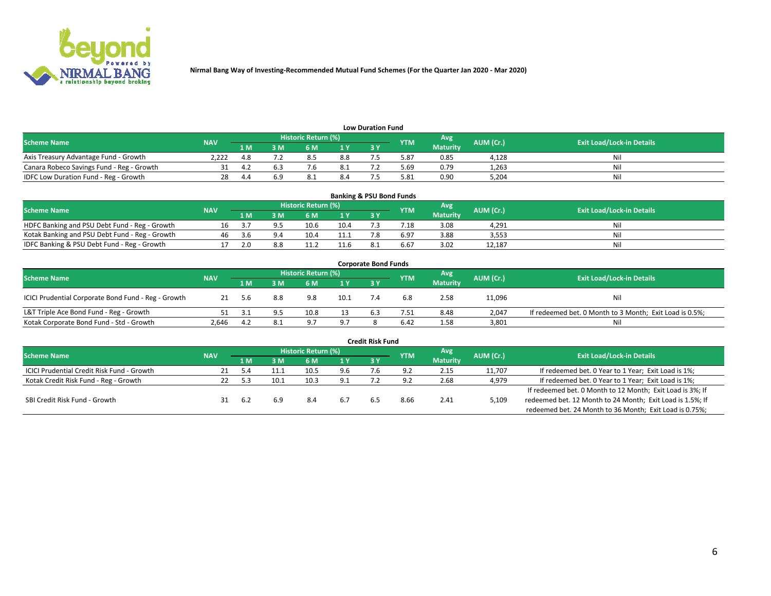

| <b>Low Duration Fund</b>                  |            |     |     |                            |      |  |            |                 |           |                                  |  |  |  |
|-------------------------------------------|------------|-----|-----|----------------------------|------|--|------------|-----------------|-----------|----------------------------------|--|--|--|
| <b>Scheme Name</b>                        | <b>NAV</b> |     |     | <b>Historic Return (%)</b> |      |  | <b>YTM</b> | Avg             | AUM (Cr.) | <b>Exit Load/Lock-in Details</b> |  |  |  |
|                                           |            | 1 M | ያ M | 5 M                        | 4 V. |  |            | <b>Maturity</b> |           |                                  |  |  |  |
| Axis Treasury Advantage Fund - Growth     | 2.222      |     |     | 8.5                        | 8.8  |  | 5.87       | 0.85            | 4,128     | Nil                              |  |  |  |
| Canara Robeco Savings Fund - Reg - Growth |            |     |     |                            | -8.1 |  | 5.69       | 0.79            | 1,263     | Nil                              |  |  |  |
| IDFC Low Duration Fund - Reg - Growth     |            |     | 6.9 | 8.1                        | 8.4  |  | 5.81       | 0.90            | 5,204     | Nil                              |  |  |  |

| <b>Banking &amp; PSU Bond Funds</b>            |            |      |    |                            |      |           |                 |                 |           |                                  |  |  |  |
|------------------------------------------------|------------|------|----|----------------------------|------|-----------|-----------------|-----------------|-----------|----------------------------------|--|--|--|
| <b>Scheme Name</b>                             | <b>NAV</b> |      |    | <b>Historic Return (%)</b> |      |           | <b>YTM</b>      | Avg             | AUM (Cr.) | <b>Exit Load/Lock-in Details</b> |  |  |  |
|                                                |            | 1 M  | sм | 6 M                        |      | <b>3Y</b> |                 | <b>Maturity</b> |           |                                  |  |  |  |
| HDFC Banking and PSU Debt Fund - Reg - Growth  |            |      |    | 10.6                       | 10.4 |           | $^{\prime}$ .18 | 3.08            | 4.291     | Ni                               |  |  |  |
| Kotak Banking and PSU Debt Fund - Reg - Growth | 46         | .3.b |    | 10.4                       | 11.1 |           | 6.97            | 3.88            | 3,553     | Ni                               |  |  |  |
| IDFC Banking & PSU Debt Fund - Reg - Growth    |            | ۱O   |    |                            | 11.6 |           | 6.67            | 3.02            | 12.187    | Ni                               |  |  |  |

| <b>Corporate Bond Funds</b>                         |            |                                                        |     |                |      |     |      |                 |                                  |                                                         |  |  |  |  |
|-----------------------------------------------------|------------|--------------------------------------------------------|-----|----------------|------|-----|------|-----------------|----------------------------------|---------------------------------------------------------|--|--|--|--|
| <b>Scheme Name</b>                                  | <b>NAV</b> | Historic Return (%)<br>Avg'<br>AUM (Cr.)<br><b>YTM</b> |     |                |      |     |      |                 | <b>Exit Load/Lock-in Details</b> |                                                         |  |  |  |  |
|                                                     |            | 1 M                                                    | : M | 6 M            | 1 Y  | 3 Y |      | <b>Maturity</b> |                                  |                                                         |  |  |  |  |
| ICICI Prudential Corporate Bond Fund - Reg - Growth | 21         | 5.6                                                    | 8.8 | 9.8            | 10.1 |     | 6.8  | 2.58            | 11,096                           | Nil                                                     |  |  |  |  |
| L&T Triple Ace Bond Fund - Reg - Growth             |            |                                                        |     | 10.8           |      |     | 7.51 | 8.48            | 2,047                            | If redeemed bet. 0 Month to 3 Month; Exit Load is 0.5%; |  |  |  |  |
| Kotak Corporate Bond Fund - Std - Growth            | 2.646      | 4.Z                                                    | 8.1 | Q <sub>7</sub> | 9.7  |     | 6.42 | 1.58            | 3,801                            | Nil                                                     |  |  |  |  |

| <b>Credit Risk Fund</b>                    |            |     |      |                     |     |           |            |                 |           |                                                           |  |  |  |
|--------------------------------------------|------------|-----|------|---------------------|-----|-----------|------------|-----------------|-----------|-----------------------------------------------------------|--|--|--|
| <b>Scheme Name</b>                         | <b>NAV</b> |     |      | Historic Return (%) |     |           | <b>YTM</b> | Avg             | AUM (Cr.) | <b>Exit Load/Lock-in Details</b>                          |  |  |  |
|                                            |            | 1 M | 3 M  | .6 M                | 1 Y | <b>3Y</b> |            | <b>Maturity</b> |           |                                                           |  |  |  |
| ICICI Prudential Credit Risk Fund - Growth |            |     |      | 10.5                | 9.6 |           |            | 2.15            | 11,707    | If redeemed bet. 0 Year to 1 Year; Exit Load is 1%;       |  |  |  |
| Kotak Credit Risk Fund - Reg - Growth      |            |     | 10.1 | 10.3                | 9.1 |           |            | 2.68            | 4,979     | If redeemed bet. 0 Year to 1 Year; Exit Load is 1%;       |  |  |  |
|                                            |            |     |      |                     |     |           |            |                 |           | If redeemed bet. 0 Month to 12 Month; Exit Load is 3%; If |  |  |  |
| SBI Credit Risk Fund - Growth              |            | 6.2 |      | 8.4                 | 6.7 |           | 8.66       | 2.41            | 5,109     | redeemed bet. 12 Month to 24 Month; Exit Load is 1.5%; If |  |  |  |
|                                            |            |     |      |                     |     |           |            |                 |           | redeemed bet. 24 Month to 36 Month; Exit Load is 0.75%;   |  |  |  |